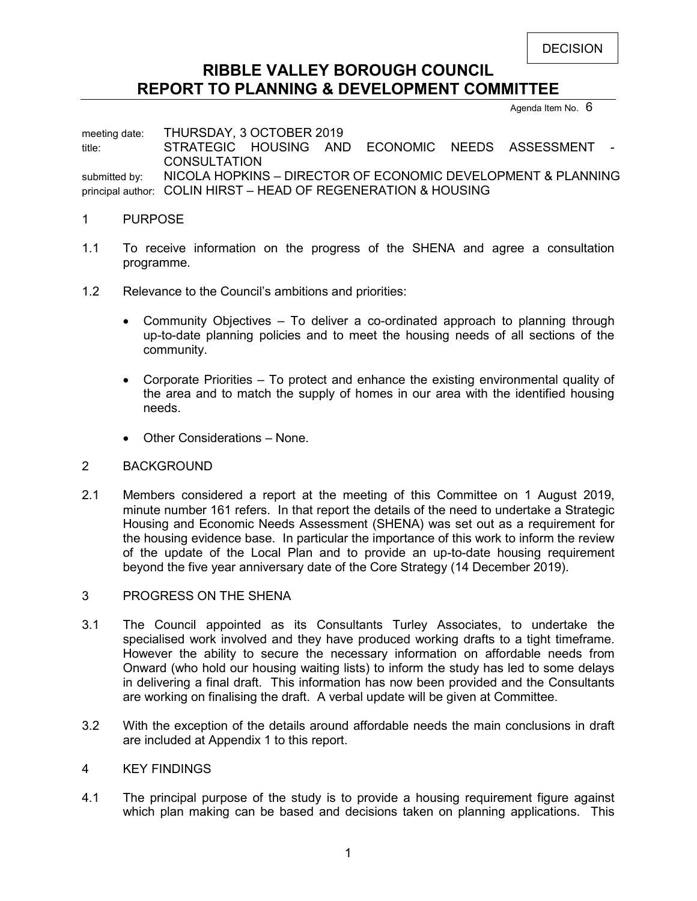DECISION

# **RIBBLE VALLEY BOROUGH COUNCIL REPORT TO PLANNING & DEVELOPMENT COMMITTEE**

Agenda Item No.  $6$ 

meeting date: THURSDAY, 3 OCTOBER 2019 title: STRATEGIC HOUSING AND ECONOMIC NEEDS ASSESSMENT **CONSULTATION** submitted by: NICOLA HOPKINS - DIRECTOR OF ECONOMIC DEVELOPMENT & PLANNING principal author: COLIN HIRST – HEAD OF REGENERATION & HOUSING

### 1 PURPOSE

- 1.1 To receive information on the progress of the SHENA and agree a consultation programme.
- 1.2 Relevance to the Council's ambitions and priorities:
	- Community Objectives To deliver a co-ordinated approach to planning through up-to-date planning policies and to meet the housing needs of all sections of the community.
	- Corporate Priorities To protect and enhance the existing environmental quality of the area and to match the supply of homes in our area with the identified housing needs.
	- Other Considerations None.

### 2 BACKGROUND

- 2.1 Members considered a report at the meeting of this Committee on 1 August 2019, minute number 161 refers. In that report the details of the need to undertake a Strategic Housing and Economic Needs Assessment (SHENA) was set out as a requirement for the housing evidence base. In particular the importance of this work to inform the review of the update of the Local Plan and to provide an up-to-date housing requirement beyond the five year anniversary date of the Core Strategy (14 December 2019).
- 3 PROGRESS ON THE SHENA
- 3.1 The Council appointed as its Consultants Turley Associates, to undertake the specialised work involved and they have produced working drafts to a tight timeframe. However the ability to secure the necessary information on affordable needs from Onward (who hold our housing waiting lists) to inform the study has led to some delays in delivering a final draft. This information has now been provided and the Consultants are working on finalising the draft. A verbal update will be given at Committee.
- 3.2 With the exception of the details around affordable needs the main conclusions in draft are included at Appendix 1 to this report.

### 4 KEY FINDINGS

4.1 The principal purpose of the study is to provide a housing requirement figure against which plan making can be based and decisions taken on planning applications. This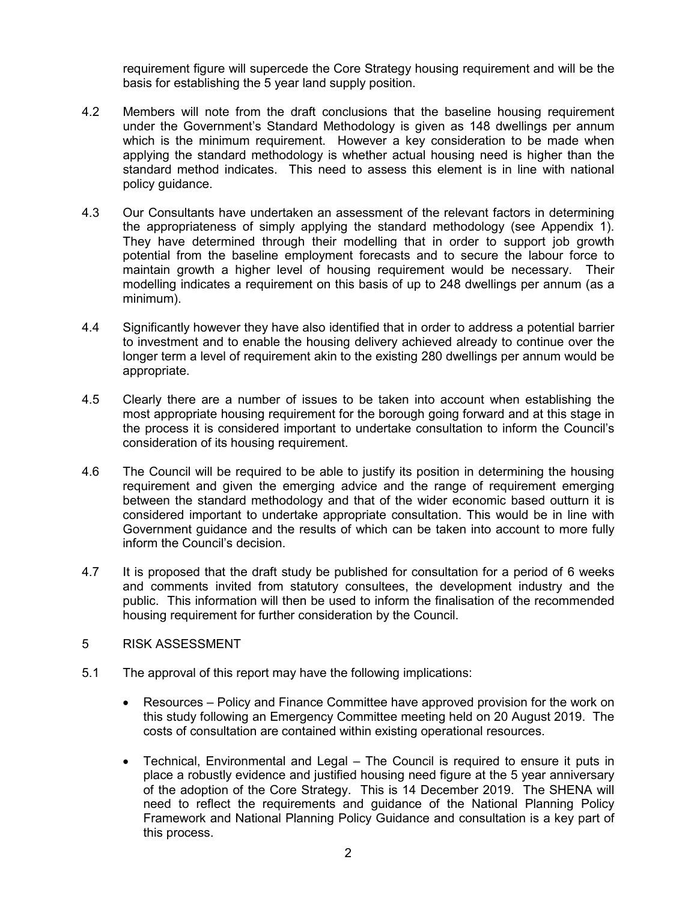requirement figure will supercede the Core Strategy housing requirement and will be the basis for establishing the 5 year land supply position.

- 4.2 Members will note from the draft conclusions that the baseline housing requirement under the Government's Standard Methodology is given as 148 dwellings per annum which is the minimum requirement. However a key consideration to be made when applying the standard methodology is whether actual housing need is higher than the standard method indicates. This need to assess this element is in line with national policy guidance.
- 4.3 Our Consultants have undertaken an assessment of the relevant factors in determining the appropriateness of simply applying the standard methodology (see Appendix 1). They have determined through their modelling that in order to support job growth potential from the baseline employment forecasts and to secure the labour force to maintain growth a higher level of housing requirement would be necessary. Their modelling indicates a requirement on this basis of up to 248 dwellings per annum (as a minimum).
- 4.4 Significantly however they have also identified that in order to address a potential barrier to investment and to enable the housing delivery achieved already to continue over the longer term a level of requirement akin to the existing 280 dwellings per annum would be appropriate.
- 4.5 Clearly there are a number of issues to be taken into account when establishing the most appropriate housing requirement for the borough going forward and at this stage in the process it is considered important to undertake consultation to inform the Council's consideration of its housing requirement.
- 4.6 The Council will be required to be able to justify its position in determining the housing requirement and given the emerging advice and the range of requirement emerging between the standard methodology and that of the wider economic based outturn it is considered important to undertake appropriate consultation. This would be in line with Government guidance and the results of which can be taken into account to more fully inform the Council's decision.
- 4.7 It is proposed that the draft study be published for consultation for a period of 6 weeks and comments invited from statutory consultees, the development industry and the public. This information will then be used to inform the finalisation of the recommended housing requirement for further consideration by the Council.
- 5 RISK ASSESSMENT
- 5.1 The approval of this report may have the following implications:
	- Resources Policy and Finance Committee have approved provision for the work on this study following an Emergency Committee meeting held on 20 August 2019. The costs of consultation are contained within existing operational resources.
	- Technical, Environmental and Legal The Council is required to ensure it puts in place a robustly evidence and justified housing need figure at the 5 year anniversary of the adoption of the Core Strategy. This is 14 December 2019. The SHENA will need to reflect the requirements and guidance of the National Planning Policy Framework and National Planning Policy Guidance and consultation is a key part of this process.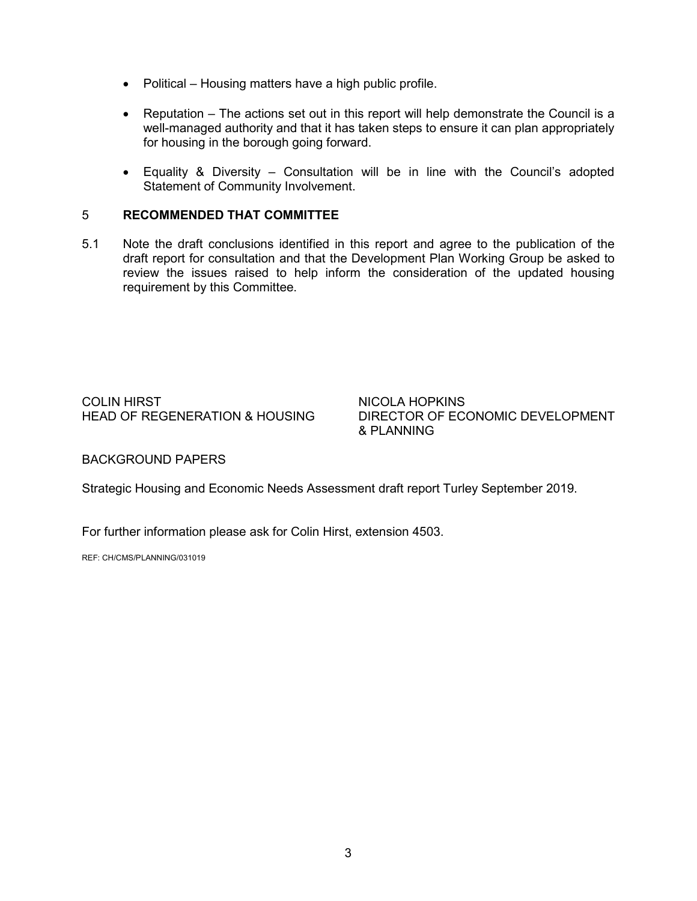- Political Housing matters have a high public profile.
- Reputation The actions set out in this report will help demonstrate the Council is a well-managed authority and that it has taken steps to ensure it can plan appropriately for housing in the borough going forward.
- Equality & Diversity Consultation will be in line with the Council's adopted Statement of Community Involvement.

### 5 **RECOMMENDED THAT COMMITTEE**

5.1 Note the draft conclusions identified in this report and agree to the publication of the draft report for consultation and that the Development Plan Working Group be asked to review the issues raised to help inform the consideration of the updated housing requirement by this Committee.

COLIN HIRST NICOLA HOPKINS<br>HEAD OF REGENERATION & HOUSING DIRECTOR OF EC

DIRECTOR OF ECONOMIC DEVELOPMENT & PLANNING

### BACKGROUND PAPERS

Strategic Housing and Economic Needs Assessment draft report Turley September 2019.

For further information please ask for Colin Hirst, extension 4503.

REF: CH/CMS/PLANNING/031019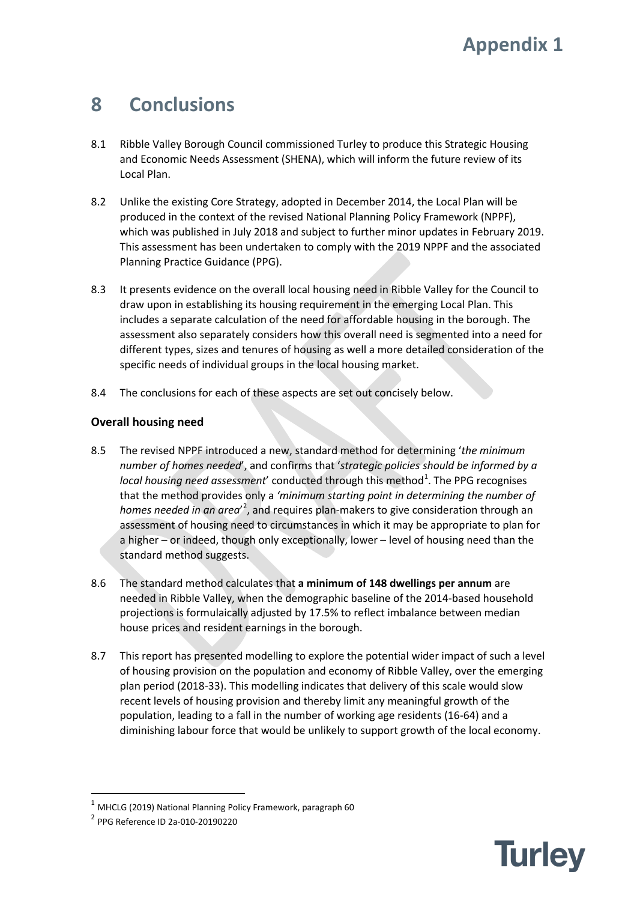# **8 Conclusions**

- 8.1 Ribble Valley Borough Council commissioned Turley to produce this Strategic Housing and Economic Needs Assessment (SHENA), which will inform the future review of its Local Plan.
- 8.2 Unlike the existing Core Strategy, adopted in December 2014, the Local Plan will be produced in the context of the revised National Planning Policy Framework (NPPF), which was published in July 2018 and subject to further minor updates in February 2019. This assessment has been undertaken to comply with the 2019 NPPF and the associated Planning Practice Guidance (PPG).
- 8.3 It presents evidence on the overall local housing need in Ribble Valley for the Council to draw upon in establishing its housing requirement in the emerging Local Plan. This includes a separate calculation of the need for affordable housing in the borough. The assessment also separately considers how this overall need is segmented into a need for different types, sizes and tenures of housing as well a more detailed consideration of the specific needs of individual groups in the local housing market.
- 8.4 The conclusions for each of these aspects are set out concisely below.

# **Overall housing need**

- 8.5 The revised NPPF introduced a new, standard method for determining '*the minimum number of homes needed*', and confirms that '*strategic policies should be informed by a*  local housing need assessment' conducted through this method<sup>[1](#page-3-0)</sup>. The PPG recognises that the method provides only a *'minimum starting point in determining the number of*  homes needed in an area<sup>'[2](#page-3-1)</sup>, and requires plan-makers to give consideration through an assessment of housing need to circumstances in which it may be appropriate to plan for a higher – or indeed, though only exceptionally, lower – level of housing need than the standard method suggests.
- 8.6 The standard method calculates that **a minimum of 148 dwellings per annum** are needed in Ribble Valley, when the demographic baseline of the 2014-based household projections is formulaically adjusted by 17.5% to reflect imbalance between median house prices and resident earnings in the borough.
- 8.7 This report has presented modelling to explore the potential wider impact of such a level of housing provision on the population and economy of Ribble Valley, over the emerging plan period (2018-33). This modelling indicates that delivery of this scale would slow recent levels of housing provision and thereby limit any meaningful growth of the population, leading to a fall in the number of working age residents (16-64) and a diminishing labour force that would be unlikely to support growth of the local economy.



<span id="page-3-0"></span> $1$  MHCLG (2019) National Planning Policy Framework, paragraph 60

<span id="page-3-1"></span><sup>2</sup> PPG Reference ID 2a-010-20190220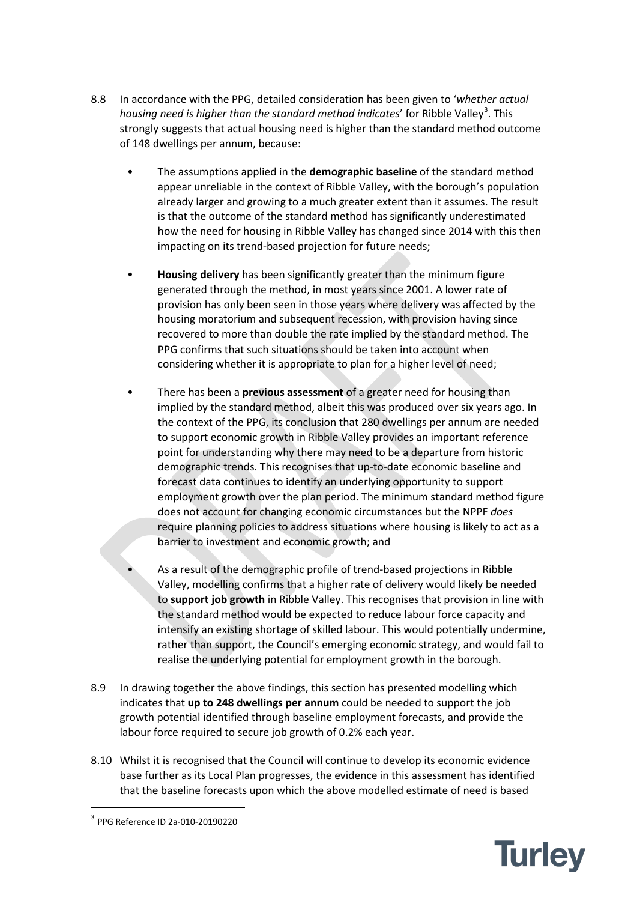- 8.8 In accordance with the PPG, detailed consideration has been given to '*whether actual*  housing need is higher than the standard method indicates' for Ribble Valley<sup>[3](#page-4-0)</sup>. This strongly suggests that actual housing need is higher than the standard method outcome of 148 dwellings per annum, because:
	- The assumptions applied in the **demographic baseline** of the standard method appear unreliable in the context of Ribble Valley, with the borough's population already larger and growing to a much greater extent than it assumes. The result is that the outcome of the standard method has significantly underestimated how the need for housing in Ribble Valley has changed since 2014 with this then impacting on its trend-based projection for future needs;
	- **Housing delivery** has been significantly greater than the minimum figure generated through the method, in most years since 2001. A lower rate of provision has only been seen in those years where delivery was affected by the housing moratorium and subsequent recession, with provision having since recovered to more than double the rate implied by the standard method. The PPG confirms that such situations should be taken into account when considering whether it is appropriate to plan for a higher level of need;
	- There has been a **previous assessment** of a greater need for housing than implied by the standard method, albeit this was produced over six years ago. In the context of the PPG, its conclusion that 280 dwellings per annum are needed to support economic growth in Ribble Valley provides an important reference point for understanding why there may need to be a departure from historic demographic trends. This recognises that up-to-date economic baseline and forecast data continues to identify an underlying opportunity to support employment growth over the plan period. The minimum standard method figure does not account for changing economic circumstances but the NPPF *does* require planning policies to address situations where housing is likely to act as a barrier to investment and economic growth; and
	- As a result of the demographic profile of trend-based projections in Ribble Valley, modelling confirms that a higher rate of delivery would likely be needed to **support job growth** in Ribble Valley. This recognises that provision in line with the standard method would be expected to reduce labour force capacity and intensify an existing shortage of skilled labour. This would potentially undermine, rather than support, the Council's emerging economic strategy, and would fail to realise the underlying potential for employment growth in the borough.
- 8.9 In drawing together the above findings, this section has presented modelling which indicates that **up to 248 dwellings per annum** could be needed to support the job growth potential identified through baseline employment forecasts, and provide the labour force required to secure job growth of 0.2% each year.
- 8.10 Whilst it is recognised that the Council will continue to develop its economic evidence base further as its Local Plan progresses, the evidence in this assessment has identified that the baseline forecasts upon which the above modelled estimate of need is based



<span id="page-4-0"></span> <sup>3</sup> PPG Reference ID 2a-010-20190220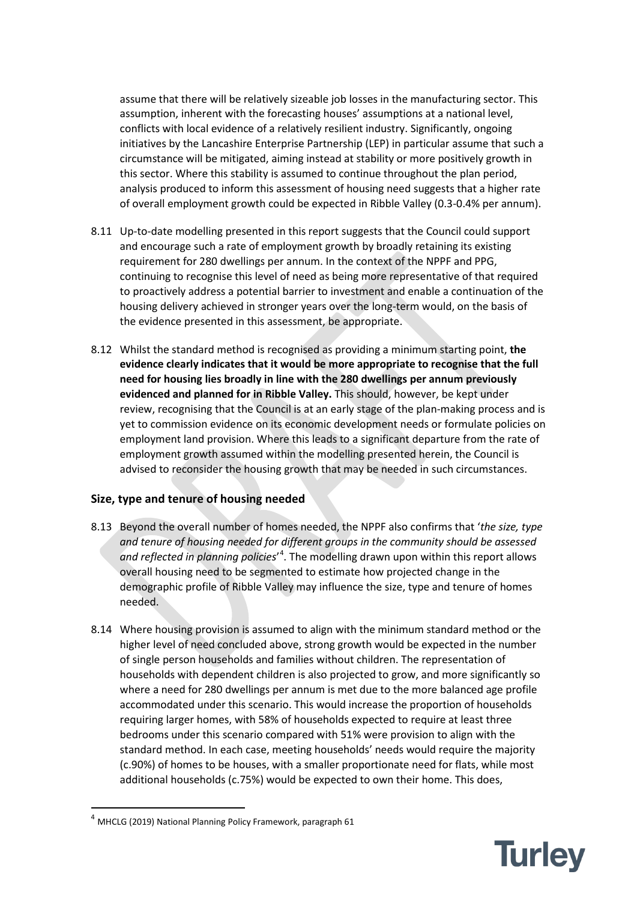assume that there will be relatively sizeable job losses in the manufacturing sector. This assumption, inherent with the forecasting houses' assumptions at a national level, conflicts with local evidence of a relatively resilient industry. Significantly, ongoing initiatives by the Lancashire Enterprise Partnership (LEP) in particular assume that such a circumstance will be mitigated, aiming instead at stability or more positively growth in this sector. Where this stability is assumed to continue throughout the plan period, analysis produced to inform this assessment of housing need suggests that a higher rate of overall employment growth could be expected in Ribble Valley (0.3-0.4% per annum).

- 8.11 Up-to-date modelling presented in this report suggests that the Council could support and encourage such a rate of employment growth by broadly retaining its existing requirement for 280 dwellings per annum. In the context of the NPPF and PPG, continuing to recognise this level of need as being more representative of that required to proactively address a potential barrier to investment and enable a continuation of the housing delivery achieved in stronger years over the long-term would, on the basis of the evidence presented in this assessment, be appropriate.
- 8.12 Whilst the standard method is recognised as providing a minimum starting point, **the evidence clearly indicates that it would be more appropriate to recognise that the full need for housing lies broadly in line with the 280 dwellings per annum previously evidenced and planned for in Ribble Valley.** This should, however, be kept under review, recognising that the Council is at an early stage of the plan-making process and is yet to commission evidence on its economic development needs or formulate policies on employment land provision. Where this leads to a significant departure from the rate of employment growth assumed within the modelling presented herein, the Council is advised to reconsider the housing growth that may be needed in such circumstances.

## **Size, type and tenure of housing needed**

- 8.13 Beyond the overall number of homes needed, the NPPF also confirms that '*the size, type and tenure of housing needed for different groups in the community should be assessed*  and reflected in planning policies<sup>, [4](#page-5-0)</sup>. The modelling drawn upon within this report allows overall housing need to be segmented to estimate how projected change in the demographic profile of Ribble Valley may influence the size, type and tenure of homes needed.
- 8.14 Where housing provision is assumed to align with the minimum standard method or the higher level of need concluded above, strong growth would be expected in the number of single person households and families without children. The representation of households with dependent children is also projected to grow, and more significantly so where a need for 280 dwellings per annum is met due to the more balanced age profile accommodated under this scenario. This would increase the proportion of households requiring larger homes, with 58% of households expected to require at least three bedrooms under this scenario compared with 51% were provision to align with the standard method. In each case, meeting households' needs would require the majority (c.90%) of homes to be houses, with a smaller proportionate need for flats, while most additional households (c.75%) would be expected to own their home. This does,



<span id="page-5-0"></span> <sup>4</sup> MHCLG (2019) National Planning Policy Framework, paragraph 61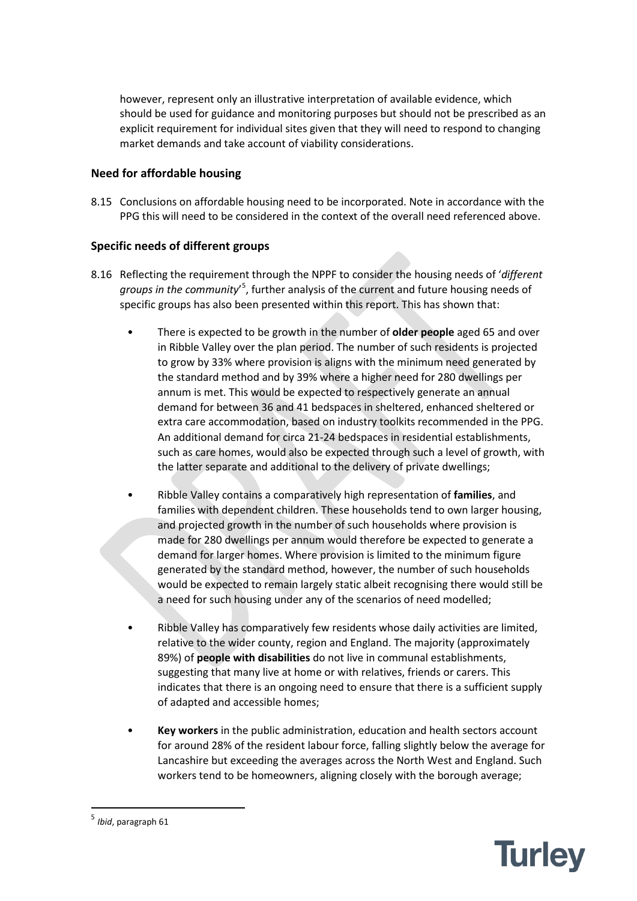however, represent only an illustrative interpretation of available evidence, which should be used for guidance and monitoring purposes but should not be prescribed as an explicit requirement for individual sites given that they will need to respond to changing market demands and take account of viability considerations.

# **Need for affordable housing**

8.15 Conclusions on affordable housing need to be incorporated. Note in accordance with the PPG this will need to be considered in the context of the overall need referenced above.

# **Specific needs of different groups**

- 8.16 Reflecting the requirement through the NPPF to consider the housing needs of '*different*  groups in the community<sup>'[5](#page-6-0)</sup>, further analysis of the current and future housing needs of specific groups has also been presented within this report. This has shown that:
	- There is expected to be growth in the number of **older people** aged 65 and over in Ribble Valley over the plan period. The number of such residents is projected to grow by 33% where provision is aligns with the minimum need generated by the standard method and by 39% where a higher need for 280 dwellings per annum is met. This would be expected to respectively generate an annual demand for between 36 and 41 bedspaces in sheltered, enhanced sheltered or extra care accommodation, based on industry toolkits recommended in the PPG. An additional demand for circa 21-24 bedspaces in residential establishments, such as care homes, would also be expected through such a level of growth, with the latter separate and additional to the delivery of private dwellings;
	- Ribble Valley contains a comparatively high representation of **families**, and families with dependent children. These households tend to own larger housing, and projected growth in the number of such households where provision is made for 280 dwellings per annum would therefore be expected to generate a demand for larger homes. Where provision is limited to the minimum figure generated by the standard method, however, the number of such households would be expected to remain largely static albeit recognising there would still be a need for such housing under any of the scenarios of need modelled;
	- Ribble Valley has comparatively few residents whose daily activities are limited, relative to the wider county, region and England. The majority (approximately 89%) of **people with disabilities** do not live in communal establishments, suggesting that many live at home or with relatives, friends or carers. This indicates that there is an ongoing need to ensure that there is a sufficient supply of adapted and accessible homes;
	- **Key workers** in the public administration, education and health sectors account for around 28% of the resident labour force, falling slightly below the average for Lancashire but exceeding the averages across the North West and England. Such workers tend to be homeowners, aligning closely with the borough average;

<span id="page-6-0"></span>